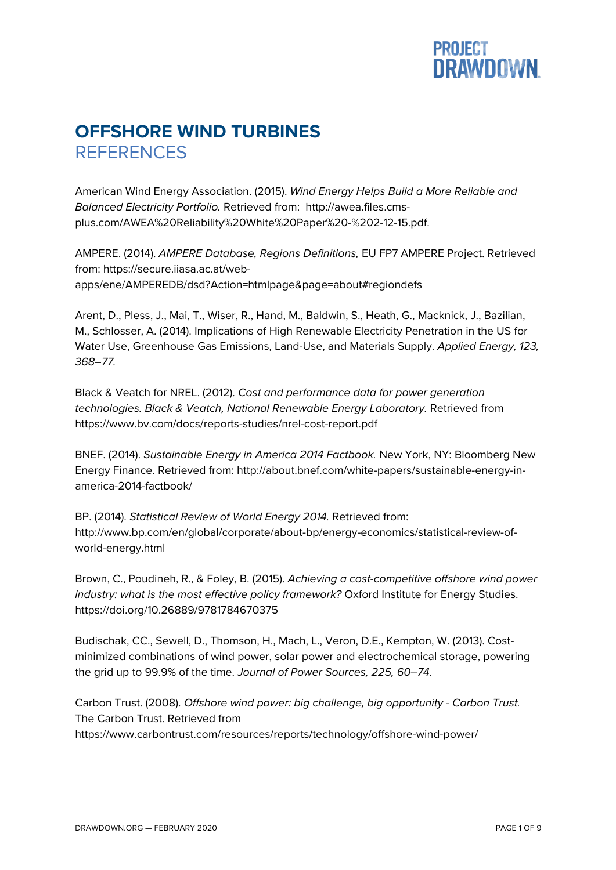## **PROJECT<br>DRAWDOWN**

## **OFFSHORE WIND TURBINES REFERENCES**

American Wind Energy Association. (2015). *Wind Energy Helps Build a More Reliable and Balanced Electricity Portfolio.* Retrieved from: http://awea.files.cmsplus.com/AWEA%20Reliability%20White%20Paper%20-%202-12-15.pdf.

AMPERE. (2014). *AMPERE Database, Regions Definitions,* EU FP7 AMPERE Project. Retrieved from: https://secure.iiasa.ac.at/webapps/ene/AMPEREDB/dsd?Action=htmlpage&page=about#regiondefs

Arent, D., Pless, J., Mai, T., Wiser, R., Hand, M., Baldwin, S., Heath, G., Macknick, J., Bazilian, M., Schlosser, A. (2014). Implications of High Renewable Electricity Penetration in the US for Water Use, Greenhouse Gas Emissions, Land-Use, and Materials Supply. *Applied Energy, 123, 368–77.*

Black & Veatch for NREL. (2012). *Cost and performance data for power generation technologies. Black & Veatch, National Renewable Energy Laboratory.* Retrieved from https://www.bv.com/docs/reports-studies/nrel-cost-report.pdf

BNEF. (2014). *Sustainable Energy in America 2014 Factbook.* New York, NY: Bloomberg New Energy Finance. Retrieved from: http://about.bnef.com/white-papers/sustainable-energy-inamerica-2014-factbook/

BP. (2014). *Statistical Review of World Energy 2014.* Retrieved from: http://www.bp.com/en/global/corporate/about-bp/energy-economics/statistical-review-ofworld-energy.html

Brown, C., Poudineh, R., & Foley, B. (2015). *Achieving a cost-competitive offshore wind power industry: what is the most effective policy framework?* Oxford Institute for Energy Studies. https://doi.org/10.26889/9781784670375

Budischak, CC., Sewell, D., Thomson, H., Mach, L., Veron, D.E., Kempton, W. (2013). Costminimized combinations of wind power, solar power and electrochemical storage, powering the grid up to 99.9% of the time. *Journal of Power Sources, 225, 60–74.*

Carbon Trust. (2008). *Offshore wind power: big challenge, big opportunity - Carbon Trust.* The Carbon Trust. Retrieved from https://www.carbontrust.com/resources/reports/technology/offshore-wind-power/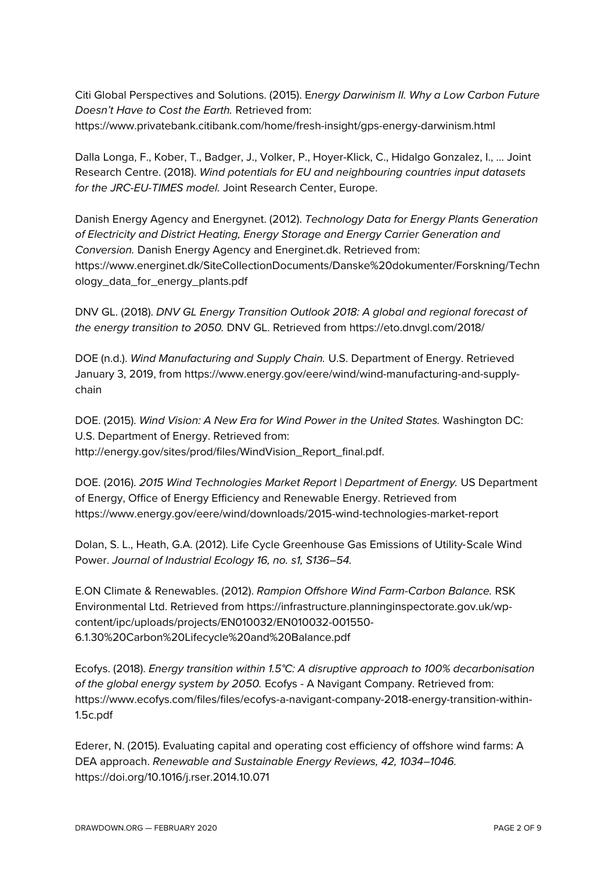Citi Global Perspectives and Solutions. (2015). E*nergy Darwinism II. Why a Low Carbon Future Doesn't Have to Cost the Earth.* Retrieved from:

https://www.privatebank.citibank.com/home/fresh-insight/gps-energy-darwinism.html

Dalla Longa, F., Kober, T., Badger, J., Volker, P., Hoyer-Klick, C., Hidalgo Gonzalez, I., … Joint Research Centre. (2018). *Wind potentials for EU and neighbouring countries input datasets for the JRC-EU-TIMES model.* Joint Research Center, Europe.

Danish Energy Agency and Energynet. (2012). *Technology Data for Energy Plants Generation of Electricity and District Heating, Energy Storage and Energy Carrier Generation and Conversion.* Danish Energy Agency and Energinet.dk. Retrieved from: https://www.energinet.dk/SiteCollectionDocuments/Danske%20dokumenter/Forskning/Techn ology\_data\_for\_energy\_plants.pdf

DNV GL. (2018). *DNV GL Energy Transition Outlook 2018: A global and regional forecast of the energy transition to 2050.* DNV GL. Retrieved from https://eto.dnvgl.com/2018/

DOE (n.d.). *Wind Manufacturing and Supply Chain.* U.S. Department of Energy. Retrieved January 3, 2019, from https://www.energy.gov/eere/wind/wind-manufacturing-and-supplychain

DOE. (2015). *Wind Vision: A New Era for Wind Power in the United States.* Washington DC: U.S. Department of Energy. Retrieved from: http://energy.gov/sites/prod/files/WindVision\_Report\_final.pdf.

DOE. (2016). *2015 Wind Technologies Market Report | Department of Energy.* US Department of Energy, Office of Energy Efficiency and Renewable Energy. Retrieved from https://www.energy.gov/eere/wind/downloads/2015-wind-technologies-market-report

Dolan, S. L., Heath, G.A. (2012). Life Cycle Greenhouse Gas Emissions of Utility-Scale Wind Power. *Journal of Industrial Ecology 16, no. s1, S136–54.*

E.ON Climate & Renewables. (2012). *Rampion Offshore Wind Farm-Carbon Balance.* RSK Environmental Ltd. Retrieved from https://infrastructure.planninginspectorate.gov.uk/wpcontent/ipc/uploads/projects/EN010032/EN010032-001550- 6.1.30%20Carbon%20Lifecycle%20and%20Balance.pdf

Ecofys. (2018). *Energy transition within 1.5°C: A disruptive approach to 100% decarbonisation of the global energy system by 2050.* Ecofys - A Navigant Company. Retrieved from: https://www.ecofys.com/files/files/ecofys-a-navigant-company-2018-energy-transition-within-1.5c.pdf

Ederer, N. (2015). Evaluating capital and operating cost efficiency of offshore wind farms: A DEA approach. *Renewable and Sustainable Energy Reviews, 42, 1034–1046.* https://doi.org/10.1016/j.rser.2014.10.071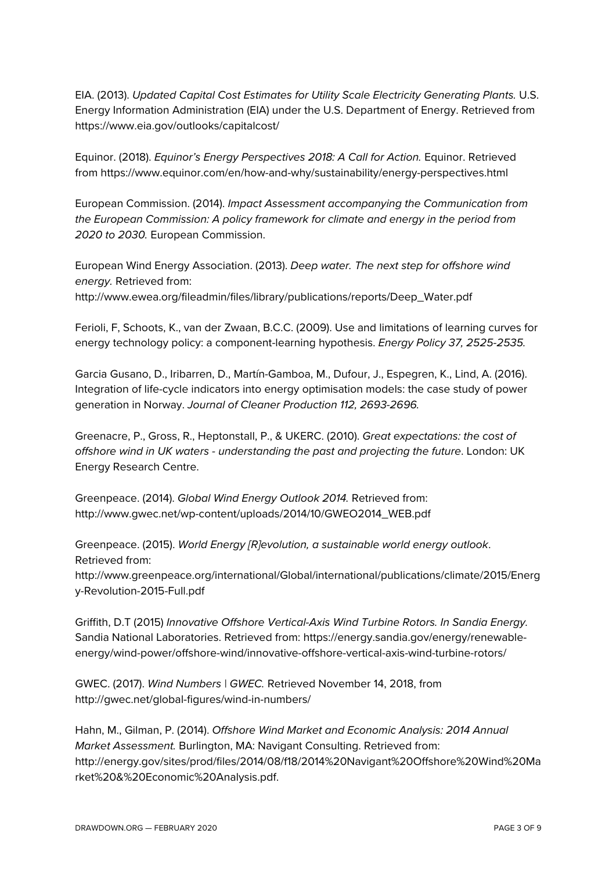EIA. (2013). *Updated Capital Cost Estimates for Utility Scale Electricity Generating Plants.* U.S. Energy Information Administration (EIA) under the U.S. Department of Energy. Retrieved from https://www.eia.gov/outlooks/capitalcost/

Equinor. (2018). *Equinor's Energy Perspectives 2018: A Call for Action.* Equinor. Retrieved from https://www.equinor.com/en/how-and-why/sustainability/energy-perspectives.html

European Commission. (2014). *Impact Assessment accompanying the Communication from the European Commission: A policy framework for climate and energy in the period from 2020 to 2030.* European Commission.

European Wind Energy Association. (2013). *Deep water. The next step for offshore wind energy.* Retrieved from:

http://www.ewea.org/fileadmin/files/library/publications/reports/Deep\_Water.pdf

Ferioli, F, Schoots, K., van der Zwaan, B.C.C. (2009). Use and limitations of learning curves for energy technology policy: a component-learning hypothesis. *Energy Policy 37, 2525-2535.*

Garcia Gusano, D., Iribarren, D., Martín-Gamboa, M., Dufour, J., Espegren, K., Lind, A. (2016). Integration of life-cycle indicators into energy optimisation models: the case study of power generation in Norway. *Journal of Cleaner Production 112, 2693-2696.*

Greenacre, P., Gross, R., Heptonstall, P., & UKERC. (2010). *Great expectations: the cost of offshore wind in UK waters - understanding the past and projecting the future*. London: UK Energy Research Centre.

Greenpeace. (2014). *Global Wind Energy Outlook 2014.* Retrieved from: http://www.gwec.net/wp-content/uploads/2014/10/GWEO2014\_WEB.pdf

Greenpeace. (2015). *World Energy [R]evolution, a sustainable world energy outlook*. Retrieved from: http://www.greenpeace.org/international/Global/international/publications/climate/2015/Energ

y-Revolution-2015-Full.pdf

Griffith, D.T (2015) *Innovative Offshore Vertical-Axis Wind Turbine Rotors. In Sandia Energy.* Sandia National Laboratories. Retrieved from: https://energy.sandia.gov/energy/renewableenergy/wind-power/offshore-wind/innovative-offshore-vertical-axis-wind-turbine-rotors/

GWEC. (2017). *Wind Numbers | GWEC.* Retrieved November 14, 2018, from http://gwec.net/global-figures/wind-in-numbers/

Hahn, M., Gilman, P. (2014). *Offshore Wind Market and Economic Analysis: 2014 Annual Market Assessment.* Burlington, MA: Navigant Consulting. Retrieved from: http://energy.gov/sites/prod/files/2014/08/f18/2014%20Navigant%20Offshore%20Wind%20Ma rket%20&%20Economic%20Analysis.pdf.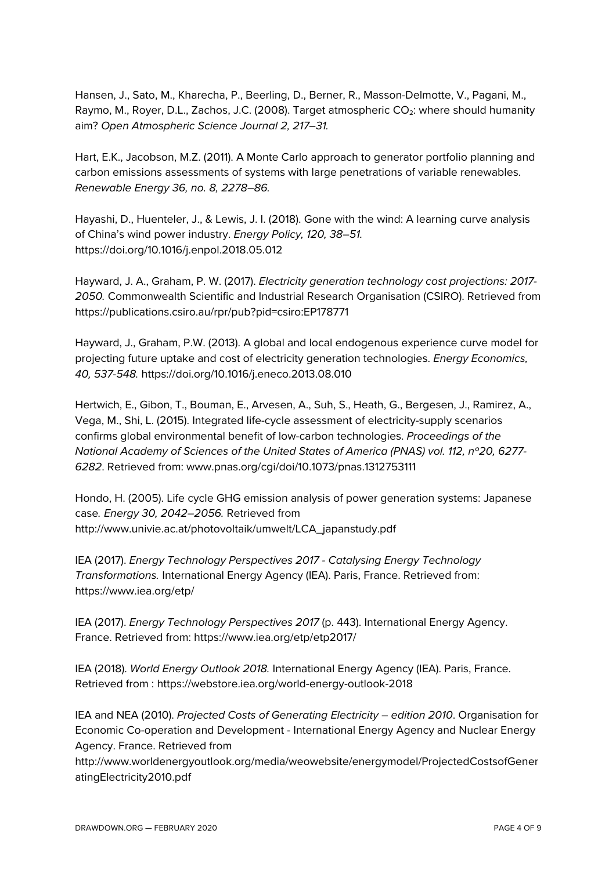Hansen, J., Sato, M., Kharecha, P., Beerling, D., Berner, R., Masson-Delmotte, V., Pagani, M., Raymo, M., Royer, D.L., Zachos, J.C. (2008). Target atmospheric CO<sub>2</sub>: where should humanity aim? *Open Atmospheric Science Journal 2, 217–31.*

Hart, E.K., Jacobson, M.Z. (2011). A Monte Carlo approach to generator portfolio planning and carbon emissions assessments of systems with large penetrations of variable renewables. *Renewable Energy 36, no. 8, 2278–86.*

Hayashi, D., Huenteler, J., & Lewis, J. I. (2018). Gone with the wind: A learning curve analysis of China's wind power industry. *Energy Policy, 120, 38–51.* https://doi.org/10.1016/j.enpol.2018.05.012

Hayward, J. A., Graham, P. W. (2017). *Electricity generation technology cost projections: 2017- 2050.* Commonwealth Scientific and Industrial Research Organisation (CSIRO). Retrieved from https://publications.csiro.au/rpr/pub?pid=csiro:EP178771

Hayward, J., Graham, P.W. (2013). A global and local endogenous experience curve model for projecting future uptake and cost of electricity generation technologies. *Energy Economics, 40, 537-548.* https://doi.org/10.1016/j.eneco.2013.08.010

Hertwich, E., Gibon, T., Bouman, E., Arvesen, A., Suh, S., Heath, G., Bergesen, J., Ramirez, A., Vega, M., Shi, L. (2015). Integrated life-cycle assessment of electricity-supply scenarios confirms global environmental benefit of low-carbon technologies. *Proceedings of the National Academy of Sciences of the United States of America (PNAS) vol. 112, nº20, 6277- 6282*. Retrieved from: www.pnas.org/cgi/doi/10.1073/pnas.1312753111

Hondo, H. (2005). Life cycle GHG emission analysis of power generation systems: Japanese case*. Energy 30, 2042–2056.* Retrieved from http://www.univie.ac.at/photovoltaik/umwelt/LCA\_japanstudy.pdf

IEA (2017). *Energy Technology Perspectives 2017 - Catalysing Energy Technology Transformations.* International Energy Agency (IEA). Paris, France. Retrieved from: https://www.iea.org/etp/

IEA (2017). *Energy Technology Perspectives 2017* (p. 443). International Energy Agency. France. Retrieved from: https://www.iea.org/etp/etp2017/

IEA (2018). *World Energy Outlook 2018.* International Energy Agency (IEA). Paris, France. Retrieved from : https://webstore.iea.org/world-energy-outlook-2018

IEA and NEA (2010). *Projected Costs of Generating Electricity – edition 2010*. Organisation for Economic Co-operation and Development - International Energy Agency and Nuclear Energy Agency. France. Retrieved from

http://www.worldenergyoutlook.org/media/weowebsite/energymodel/ProjectedCostsofGener atingElectricity2010.pdf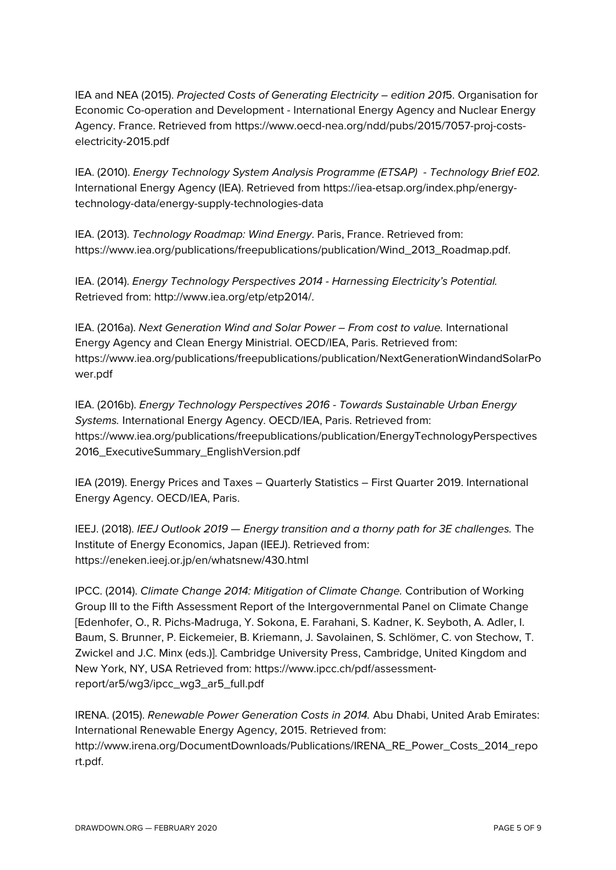IEA and NEA (2015). *Projected Costs of Generating Electricity – edition 201*5. Organisation for Economic Co-operation and Development - International Energy Agency and Nuclear Energy Agency. France. Retrieved from https://www.oecd-nea.org/ndd/pubs/2015/7057-proj-costselectricity-2015.pdf

IEA. (2010). *Energy Technology System Analysis Programme (ETSAP) - Technology Brief E02.* International Energy Agency (IEA). Retrieved from https://iea-etsap.org/index.php/energytechnology-data/energy-supply-technologies-data

IEA. (2013). *Technology Roadmap: Wind Energy*. Paris, France. Retrieved from: https://www.iea.org/publications/freepublications/publication/Wind\_2013\_Roadmap.pdf.

IEA. (2014). *Energy Technology Perspectives 2014 - Harnessing Electricity's Potential.* Retrieved from: http://www.iea.org/etp/etp2014/.

IEA. (2016a). *Next Generation Wind and Solar Power – From cost to value.* International Energy Agency and Clean Energy Ministrial. OECD/IEA, Paris. Retrieved from: https://www.iea.org/publications/freepublications/publication/NextGenerationWindandSolarPo wer.pdf

IEA. (2016b). *Energy Technology Perspectives 2016 - Towards Sustainable Urban Energy Systems.* International Energy Agency. OECD/IEA, Paris. Retrieved from: https://www.iea.org/publications/freepublications/publication/EnergyTechnologyPerspectives 2016\_ExecutiveSummary\_EnglishVersion.pdf

IEA (2019). Energy Prices and Taxes – Quarterly Statistics – First Quarter 2019. International Energy Agency. OECD/IEA, Paris.

IEEJ. (2018). *IEEJ Outlook 2019 — Energy transition and a thorny path for 3E challenges.* The Institute of Energy Economics, Japan (IEEJ). Retrieved from: https://eneken.ieej.or.jp/en/whatsnew/430.html

IPCC. (2014). *Climate Change 2014: Mitigation of Climate Change.* Contribution of Working Group III to the Fifth Assessment Report of the Intergovernmental Panel on Climate Change [Edenhofer, O., R. Pichs-Madruga, Y. Sokona, E. Farahani, S. Kadner, K. Seyboth, A. Adler, I. Baum, S. Brunner, P. Eickemeier, B. Kriemann, J. Savolainen, S. Schlömer, C. von Stechow, T. Zwickel and J.C. Minx (eds.)]. Cambridge University Press, Cambridge, United Kingdom and New York, NY, USA Retrieved from: https://www.ipcc.ch/pdf/assessmentreport/ar5/wg3/ipcc\_wg3\_ar5\_full.pdf

IRENA. (2015). *Renewable Power Generation Costs in 2014.* Abu Dhabi, United Arab Emirates: International Renewable Energy Agency, 2015. Retrieved from: http://www.irena.org/DocumentDownloads/Publications/IRENA\_RE\_Power\_Costs\_2014\_repo rt.pdf.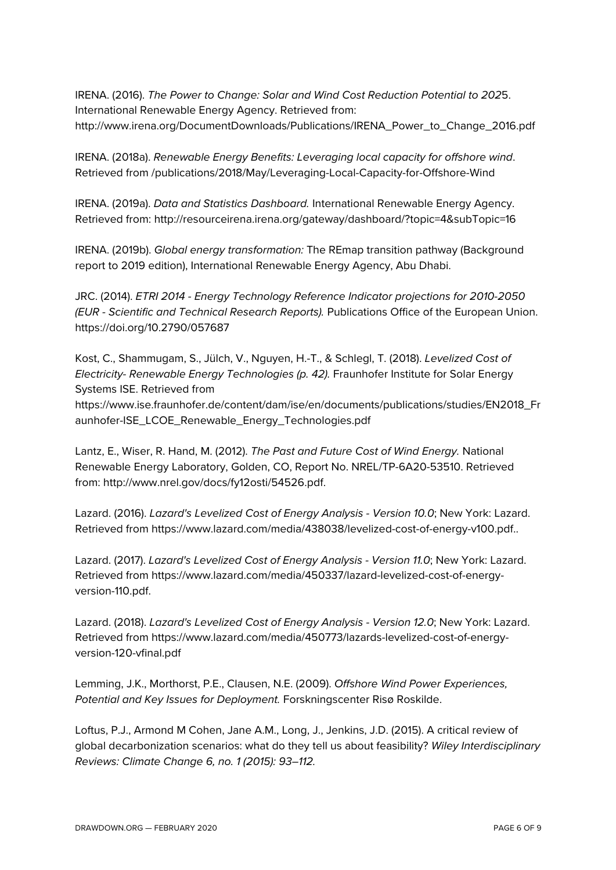IRENA. (2016). *The Power to Change: Solar and Wind Cost Reduction Potential to 202*5. International Renewable Energy Agency. Retrieved from: http://www.irena.org/DocumentDownloads/Publications/IRENA\_Power\_to\_Change\_2016.pdf

IRENA. (2018a). *Renewable Energy Benefits: Leveraging local capacity for offshore wind*. Retrieved from /publications/2018/May/Leveraging-Local-Capacity-for-Offshore-Wind

IRENA. (2019a). *Data and Statistics Dashboard.* International Renewable Energy Agency. Retrieved from: http://resourceirena.irena.org/gateway/dashboard/?topic=4&subTopic=16

IRENA. (2019b). *Global energy transformation:* The REmap transition pathway (Background report to 2019 edition), International Renewable Energy Agency, Abu Dhabi.

JRC. (2014). *ETRI 2014 - Energy Technology Reference Indicator projections for 2010-2050 (EUR - Scientific and Technical Research Reports).* Publications Office of the European Union. https://doi.org/10.2790/057687

Kost, C., Shammugam, S., Jülch, V., Nguyen, H.-T., & Schlegl, T. (2018). *Levelized Cost of Electricity- Renewable Energy Technologies (p. 42).* Fraunhofer Institute for Solar Energy Systems ISE. Retrieved from

https://www.ise.fraunhofer.de/content/dam/ise/en/documents/publications/studies/EN2018\_Fr aunhofer-ISE\_LCOE\_Renewable\_Energy\_Technologies.pdf

Lantz, E., Wiser, R. Hand, M. (2012). *The Past and Future Cost of Wind Energy.* National Renewable Energy Laboratory, Golden, CO, Report No. NREL/TP-6A20-53510. Retrieved from: http://www.nrel.gov/docs/fy12osti/54526.pdf.

Lazard. (2016). *Lazard's Levelized Cost of Energy Analysis - Version 10.0*; New York: Lazard. Retrieved from https://www.lazard.com/media/438038/levelized-cost-of-energy-v100.pdf..

Lazard. (2017). *Lazard's Levelized Cost of Energy Analysis - Version 11.0*; New York: Lazard. Retrieved from https://www.lazard.com/media/450337/lazard-levelized-cost-of-energyversion-110.pdf.

Lazard. (2018). *Lazard's Levelized Cost of Energy Analysis - Version 12.0*; New York: Lazard. Retrieved from https://www.lazard.com/media/450773/lazards-levelized-cost-of-energyversion-120-vfinal.pdf

Lemming, J.K., Morthorst, P.E., Clausen, N.E. (2009). *Offshore Wind Power Experiences, Potential and Key Issues for Deployment.* Forskningscenter Risø Roskilde.

Loftus, P.J., Armond M Cohen, Jane A.M., Long, J., Jenkins, J.D. (2015). A critical review of global decarbonization scenarios: what do they tell us about feasibility? *Wiley Interdisciplinary Reviews: Climate Change 6, no. 1 (2015): 93–112.*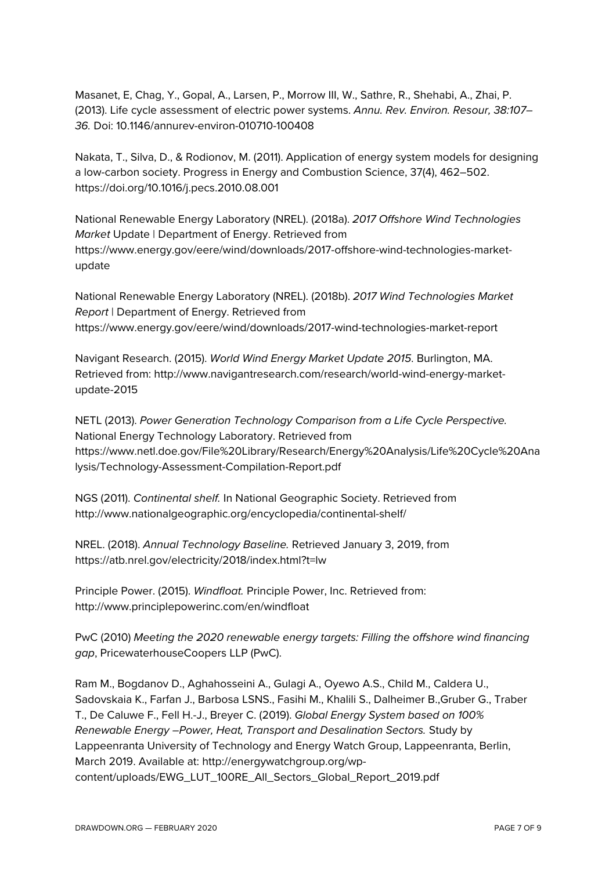Masanet, E, Chag, Y., Gopal, A., Larsen, P., Morrow III, W., Sathre, R., Shehabi, A., Zhai, P. (2013). Life cycle assessment of electric power systems. *Annu. Rev. Environ. Resour, 38:107– 36.* Doi: 10.1146/annurev-environ-010710-100408

Nakata, T., Silva, D., & Rodionov, M. (2011). Application of energy system models for designing a low-carbon society. Progress in Energy and Combustion Science, 37(4), 462–502. https://doi.org/10.1016/j.pecs.2010.08.001

National Renewable Energy Laboratory (NREL). (2018a). *2017 Offshore Wind Technologies Market* Update | Department of Energy. Retrieved from https://www.energy.gov/eere/wind/downloads/2017-offshore-wind-technologies-marketupdate

National Renewable Energy Laboratory (NREL). (2018b). *2017 Wind Technologies Market Report* | Department of Energy. Retrieved from https://www.energy.gov/eere/wind/downloads/2017-wind-technologies-market-report

Navigant Research. (2015). *World Wind Energy Market Update 2015*. Burlington, MA. Retrieved from: http://www.navigantresearch.com/research/world-wind-energy-marketupdate-2015

NETL (2013). *Power Generation Technology Comparison from a Life Cycle Perspective.* National Energy Technology Laboratory. Retrieved from https://www.netl.doe.gov/File%20Library/Research/Energy%20Analysis/Life%20Cycle%20Ana lysis/Technology-Assessment-Compilation-Report.pdf

NGS (2011). *Continental shelf.* In National Geographic Society. Retrieved from http://www.nationalgeographic.org/encyclopedia/continental-shelf/

NREL. (2018). *Annual Technology Baseline.* Retrieved January 3, 2019, from https://atb.nrel.gov/electricity/2018/index.html?t=lw

Principle Power. (2015). *Windfloat.* Principle Power, Inc. Retrieved from: http://www.principlepowerinc.com/en/windfloat

PwC (2010) *Meeting the 2020 renewable energy targets: Filling the offshore wind financing gap*, PricewaterhouseCoopers LLP (PwC).

Ram M., Bogdanov D., Aghahosseini A., Gulagi A., Oyewo A.S., Child M., Caldera U., Sadovskaia K., Farfan J., Barbosa LSNS., Fasihi M., Khalili S., Dalheimer B.,Gruber G., Traber T., De Caluwe F., Fell H.-J., Breyer C. (2019). *Global Energy System based on 100% Renewable Energy –Power, Heat, Transport and Desalination Sectors.* Study by Lappeenranta University of Technology and Energy Watch Group, Lappeenranta, Berlin, March 2019. Available at: http://energywatchgroup.org/wpcontent/uploads/EWG\_LUT\_100RE\_All\_Sectors\_Global\_Report\_2019.pdf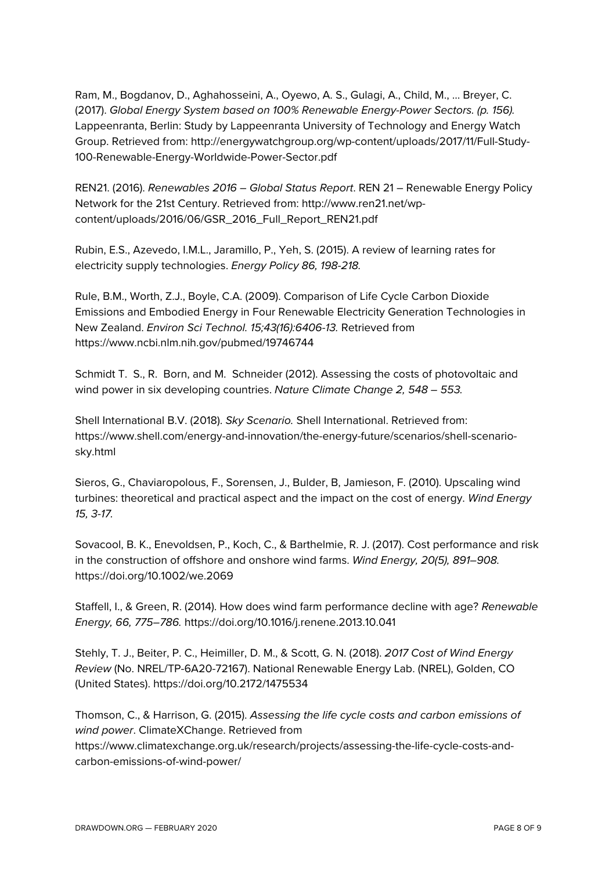Ram, M., Bogdanov, D., Aghahosseini, A., Oyewo, A. S., Gulagi, A., Child, M., … Breyer, C. (2017). *Global Energy System based on 100% Renewable Energy-Power Sectors. (p. 156).* Lappeenranta, Berlin: Study by Lappeenranta University of Technology and Energy Watch Group. Retrieved from: http://energywatchgroup.org/wp-content/uploads/2017/11/Full-Study-100-Renewable-Energy-Worldwide-Power-Sector.pdf

REN21. (2016). *Renewables 2016 – Global Status Report*. REN 21 – Renewable Energy Policy Network for the 21st Century. Retrieved from: http://www.ren21.net/wpcontent/uploads/2016/06/GSR\_2016\_Full\_Report\_REN21.pdf

Rubin, E.S., Azevedo, I.M.L., Jaramillo, P., Yeh, S. (2015). A review of learning rates for electricity supply technologies. *Energy Policy 86, 198-218.*

Rule, B.M., Worth, Z.J., Boyle, C.A. (2009). Comparison of Life Cycle Carbon Dioxide Emissions and Embodied Energy in Four Renewable Electricity Generation Technologies in New Zealand. *Environ Sci Technol. 15;43(16):6406-13.* Retrieved from https://www.ncbi.nlm.nih.gov/pubmed/19746744

Schmidt T. S., R. Born, and M. Schneider (2012). Assessing the costs of photovoltaic and wind power in six developing countries. *Nature Climate Change 2, 548 – 553.*

Shell International B.V. (2018). *Sky Scenario.* Shell International. Retrieved from: https://www.shell.com/energy-and-innovation/the-energy-future/scenarios/shell-scenariosky.html

Sieros, G., Chaviaropolous, F., Sorensen, J., Bulder, B, Jamieson, F. (2010). Upscaling wind turbines: theoretical and practical aspect and the impact on the cost of energy. *Wind Energy 15, 3-17.*

Sovacool, B. K., Enevoldsen, P., Koch, C., & Barthelmie, R. J. (2017). Cost performance and risk in the construction of offshore and onshore wind farms. *Wind Energy, 20(5), 891–908.* https://doi.org/10.1002/we.2069

Staffell, I., & Green, R. (2014). How does wind farm performance decline with age? *Renewable Energy, 66, 775–786.* https://doi.org/10.1016/j.renene.2013.10.041

Stehly, T. J., Beiter, P. C., Heimiller, D. M., & Scott, G. N. (2018). *2017 Cost of Wind Energy Review* (No. NREL/TP-6A20-72167). National Renewable Energy Lab. (NREL), Golden, CO (United States). https://doi.org/10.2172/1475534

Thomson, C., & Harrison, G. (2015). *Assessing the life cycle costs and carbon emissions of wind power*. ClimateXChange. Retrieved from https://www.climatexchange.org.uk/research/projects/assessing-the-life-cycle-costs-andcarbon-emissions-of-wind-power/